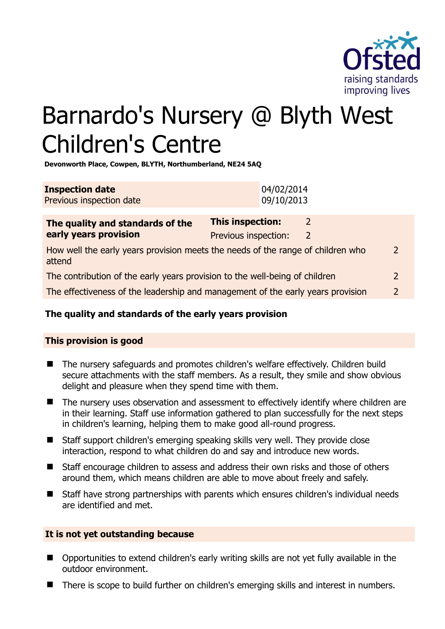

# Barnardo's Nursery @ Blyth West Children's Centre

**Devonworth Place, Cowpen, BLYTH, Northumberland, NE24 5AQ** 

| <b>Inspection date</b>   | 04/02/2014 |
|--------------------------|------------|
| Previous inspection date | 09/10/2013 |

| The quality and standards of the                                                          | This inspection:     |   |               |
|-------------------------------------------------------------------------------------------|----------------------|---|---------------|
| early years provision                                                                     | Previous inspection: | 2 |               |
| How well the early years provision meets the needs of the range of children who<br>attend |                      |   | $\mathcal{D}$ |
| The contribution of the early years provision to the well-being of children               |                      |   | $\mathcal{P}$ |
| The effectiveness of the leadership and management of the early years provision           |                      |   | $\mathcal{D}$ |
|                                                                                           |                      |   |               |

# **The quality and standards of the early years provision**

# **This provision is good**

- The nursery safeguards and promotes children's welfare effectively. Children build secure attachments with the staff members. As a result, they smile and show obvious delight and pleasure when they spend time with them.
- The nursery uses observation and assessment to effectively identify where children are in their learning. Staff use information gathered to plan successfully for the next steps in children's learning, helping them to make good all-round progress.
- Staff support children's emerging speaking skills very well. They provide close interaction, respond to what children do and say and introduce new words.
- Staff encourage children to assess and address their own risks and those of others around them, which means children are able to move about freely and safely.
- Staff have strong partnerships with parents which ensures children's individual needs are identified and met.

# **It is not yet outstanding because**

- Opportunities to extend children's early writing skills are not yet fully available in the outdoor environment.
- There is scope to build further on children's emerging skills and interest in numbers.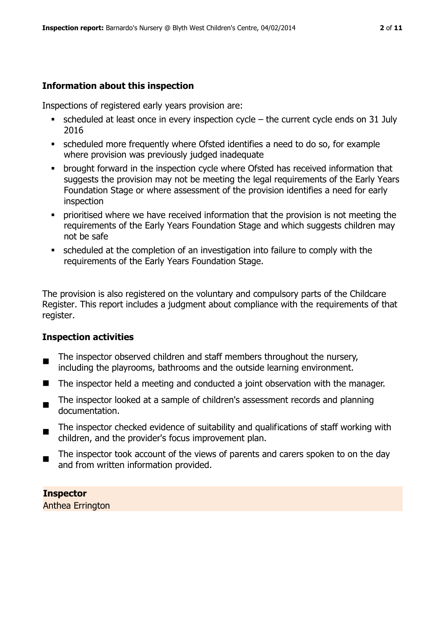# **Information about this inspection**

Inspections of registered early years provision are:

- scheduled at least once in every inspection cycle the current cycle ends on 31 July 2016
- scheduled more frequently where Ofsted identifies a need to do so, for example where provision was previously judged inadequate
- **•** brought forward in the inspection cycle where Ofsted has received information that suggests the provision may not be meeting the legal requirements of the Early Years Foundation Stage or where assessment of the provision identifies a need for early inspection
- **•** prioritised where we have received information that the provision is not meeting the requirements of the Early Years Foundation Stage and which suggests children may not be safe
- scheduled at the completion of an investigation into failure to comply with the requirements of the Early Years Foundation Stage.

The provision is also registered on the voluntary and compulsory parts of the Childcare Register. This report includes a judgment about compliance with the requirements of that register.

# **Inspection activities**

- $\blacksquare$ The inspector observed children and staff members throughout the nursery, including the playrooms, bathrooms and the outside learning environment.
- $\blacksquare$  The inspector held a meeting and conducted a joint observation with the manager.
- $\blacksquare$ The inspector looked at a sample of children's assessment records and planning documentation.
- $\blacksquare$ The inspector checked evidence of suitability and qualifications of staff working with children, and the provider's focus improvement plan.
- The inspector took account of the views of parents and carers spoken to on the day and from written information provided.

**Inspector**  Anthea Errington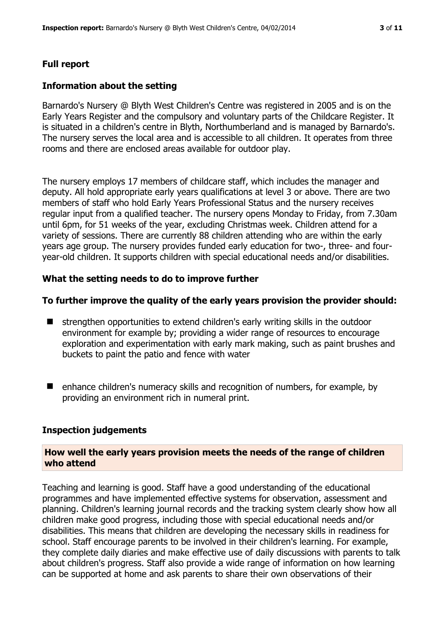#### **Full report**

#### **Information about the setting**

Barnardo's Nursery @ Blyth West Children's Centre was registered in 2005 and is on the Early Years Register and the compulsory and voluntary parts of the Childcare Register. It is situated in a children's centre in Blyth, Northumberland and is managed by Barnardo's. The nursery serves the local area and is accessible to all children. It operates from three rooms and there are enclosed areas available for outdoor play.

The nursery employs 17 members of childcare staff, which includes the manager and deputy. All hold appropriate early years qualifications at level 3 or above. There are two members of staff who hold Early Years Professional Status and the nursery receives regular input from a qualified teacher. The nursery opens Monday to Friday, from 7.30am until 6pm, for 51 weeks of the year, excluding Christmas week. Children attend for a variety of sessions. There are currently 88 children attending who are within the early years age group. The nursery provides funded early education for two-, three- and fouryear-old children. It supports children with special educational needs and/or disabilities.

#### **What the setting needs to do to improve further**

#### **To further improve the quality of the early years provision the provider should:**

- $\blacksquare$  strengthen opportunities to extend children's early writing skills in the outdoor environment for example by; providing a wider range of resources to encourage exploration and experimentation with early mark making, such as paint brushes and buckets to paint the patio and fence with water
- enhance children's numeracy skills and recognition of numbers, for example, by providing an environment rich in numeral print.

#### **Inspection judgements**

#### **How well the early years provision meets the needs of the range of children who attend**

Teaching and learning is good. Staff have a good understanding of the educational programmes and have implemented effective systems for observation, assessment and planning. Children's learning journal records and the tracking system clearly show how all children make good progress, including those with special educational needs and/or disabilities. This means that children are developing the necessary skills in readiness for school. Staff encourage parents to be involved in their children's learning. For example, they complete daily diaries and make effective use of daily discussions with parents to talk about children's progress. Staff also provide a wide range of information on how learning can be supported at home and ask parents to share their own observations of their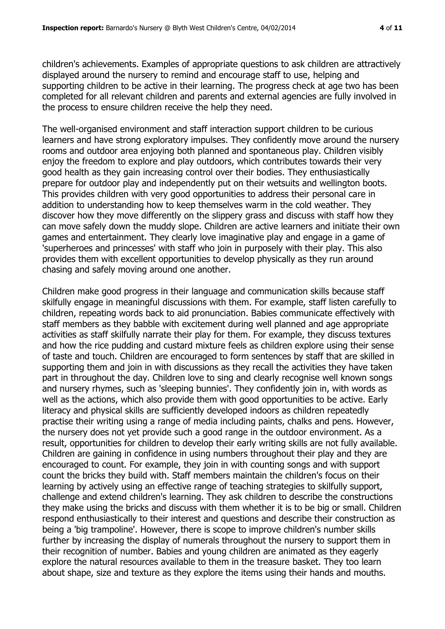children's achievements. Examples of appropriate questions to ask children are attractively displayed around the nursery to remind and encourage staff to use, helping and supporting children to be active in their learning. The progress check at age two has been completed for all relevant children and parents and external agencies are fully involved in the process to ensure children receive the help they need.

The well-organised environment and staff interaction support children to be curious learners and have strong exploratory impulses. They confidently move around the nursery rooms and outdoor area enjoying both planned and spontaneous play. Children visibly enjoy the freedom to explore and play outdoors, which contributes towards their very good health as they gain increasing control over their bodies. They enthusiastically prepare for outdoor play and independently put on their wetsuits and wellington boots. This provides children with very good opportunities to address their personal care in addition to understanding how to keep themselves warm in the cold weather. They discover how they move differently on the slippery grass and discuss with staff how they can move safely down the muddy slope. Children are active learners and initiate their own games and entertainment. They clearly love imaginative play and engage in a game of 'superheroes and princesses' with staff who join in purposely with their play. This also provides them with excellent opportunities to develop physically as they run around chasing and safely moving around one another.

Children make good progress in their language and communication skills because staff skilfully engage in meaningful discussions with them. For example, staff listen carefully to children, repeating words back to aid pronunciation. Babies communicate effectively with staff members as they babble with excitement during well planned and age appropriate activities as staff skilfully narrate their play for them. For example, they discuss textures and how the rice pudding and custard mixture feels as children explore using their sense of taste and touch. Children are encouraged to form sentences by staff that are skilled in supporting them and join in with discussions as they recall the activities they have taken part in throughout the day. Children love to sing and clearly recognise well known songs and nursery rhymes, such as 'sleeping bunnies'. They confidently join in, with words as well as the actions, which also provide them with good opportunities to be active. Early literacy and physical skills are sufficiently developed indoors as children repeatedly practise their writing using a range of media including paints, chalks and pens. However, the nursery does not yet provide such a good range in the outdoor environment. As a result, opportunities for children to develop their early writing skills are not fully available. Children are gaining in confidence in using numbers throughout their play and they are encouraged to count. For example, they join in with counting songs and with support count the bricks they build with. Staff members maintain the children's focus on their learning by actively using an effective range of teaching strategies to skilfully support, challenge and extend children's learning. They ask children to describe the constructions they make using the bricks and discuss with them whether it is to be big or small. Children respond enthusiastically to their interest and questions and describe their construction as being a 'big trampoline'. However, there is scope to improve children's number skills further by increasing the display of numerals throughout the nursery to support them in their recognition of number. Babies and young children are animated as they eagerly explore the natural resources available to them in the treasure basket. They too learn about shape, size and texture as they explore the items using their hands and mouths.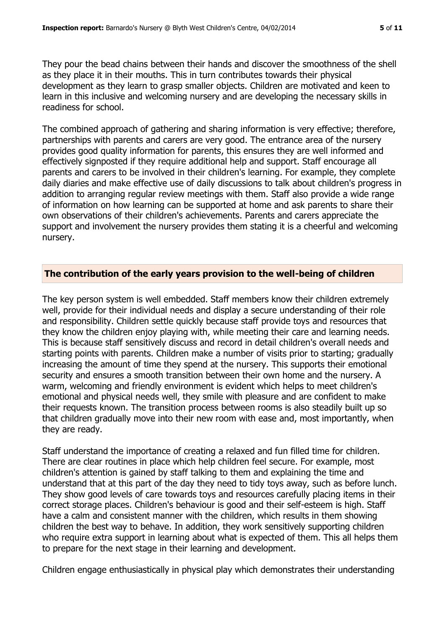They pour the bead chains between their hands and discover the smoothness of the shell as they place it in their mouths. This in turn contributes towards their physical development as they learn to grasp smaller objects. Children are motivated and keen to learn in this inclusive and welcoming nursery and are developing the necessary skills in readiness for school.

The combined approach of gathering and sharing information is very effective; therefore, partnerships with parents and carers are very good. The entrance area of the nursery provides good quality information for parents, this ensures they are well informed and effectively signposted if they require additional help and support. Staff encourage all parents and carers to be involved in their children's learning. For example, they complete daily diaries and make effective use of daily discussions to talk about children's progress in addition to arranging regular review meetings with them. Staff also provide a wide range of information on how learning can be supported at home and ask parents to share their own observations of their children's achievements. Parents and carers appreciate the support and involvement the nursery provides them stating it is a cheerful and welcoming nursery.

## **The contribution of the early years provision to the well-being of children**

The key person system is well embedded. Staff members know their children extremely well, provide for their individual needs and display a secure understanding of their role and responsibility. Children settle quickly because staff provide toys and resources that they know the children enjoy playing with, while meeting their care and learning needs. This is because staff sensitively discuss and record in detail children's overall needs and starting points with parents. Children make a number of visits prior to starting; gradually increasing the amount of time they spend at the nursery. This supports their emotional security and ensures a smooth transition between their own home and the nursery. A warm, welcoming and friendly environment is evident which helps to meet children's emotional and physical needs well, they smile with pleasure and are confident to make their requests known. The transition process between rooms is also steadily built up so that children gradually move into their new room with ease and, most importantly, when they are ready.

Staff understand the importance of creating a relaxed and fun filled time for children. There are clear routines in place which help children feel secure. For example, most children's attention is gained by staff talking to them and explaining the time and understand that at this part of the day they need to tidy toys away, such as before lunch. They show good levels of care towards toys and resources carefully placing items in their correct storage places. Children's behaviour is good and their self-esteem is high. Staff have a calm and consistent manner with the children, which results in them showing children the best way to behave. In addition, they work sensitively supporting children who require extra support in learning about what is expected of them. This all helps them to prepare for the next stage in their learning and development.

Children engage enthusiastically in physical play which demonstrates their understanding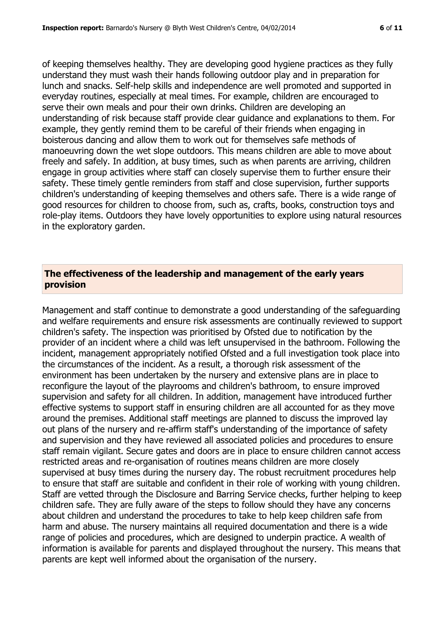of keeping themselves healthy. They are developing good hygiene practices as they fully understand they must wash their hands following outdoor play and in preparation for lunch and snacks. Self-help skills and independence are well promoted and supported in everyday routines, especially at meal times. For example, children are encouraged to serve their own meals and pour their own drinks. Children are developing an understanding of risk because staff provide clear guidance and explanations to them. For example, they gently remind them to be careful of their friends when engaging in boisterous dancing and allow them to work out for themselves safe methods of manoeuvring down the wet slope outdoors. This means children are able to move about freely and safely. In addition, at busy times, such as when parents are arriving, children engage in group activities where staff can closely supervise them to further ensure their safety. These timely gentle reminders from staff and close supervision, further supports children's understanding of keeping themselves and others safe. There is a wide range of good resources for children to choose from, such as, crafts, books, construction toys and role-play items. Outdoors they have lovely opportunities to explore using natural resources in the exploratory garden.

## **The effectiveness of the leadership and management of the early years provision**

Management and staff continue to demonstrate a good understanding of the safeguarding and welfare requirements and ensure risk assessments are continually reviewed to support children's safety. The inspection was prioritised by Ofsted due to notification by the provider of an incident where a child was left unsupervised in the bathroom. Following the incident, management appropriately notified Ofsted and a full investigation took place into the circumstances of the incident. As a result, a thorough risk assessment of the environment has been undertaken by the nursery and extensive plans are in place to reconfigure the layout of the playrooms and children's bathroom, to ensure improved supervision and safety for all children. In addition, management have introduced further effective systems to support staff in ensuring children are all accounted for as they move around the premises. Additional staff meetings are planned to discuss the improved lay out plans of the nursery and re-affirm staff's understanding of the importance of safety and supervision and they have reviewed all associated policies and procedures to ensure staff remain vigilant. Secure gates and doors are in place to ensure children cannot access restricted areas and re-organisation of routines means children are more closely supervised at busy times during the nursery day. The robust recruitment procedures help to ensure that staff are suitable and confident in their role of working with young children. Staff are vetted through the Disclosure and Barring Service checks, further helping to keep children safe. They are fully aware of the steps to follow should they have any concerns about children and understand the procedures to take to help keep children safe from harm and abuse. The nursery maintains all required documentation and there is a wide range of policies and procedures, which are designed to underpin practice. A wealth of information is available for parents and displayed throughout the nursery. This means that parents are kept well informed about the organisation of the nursery.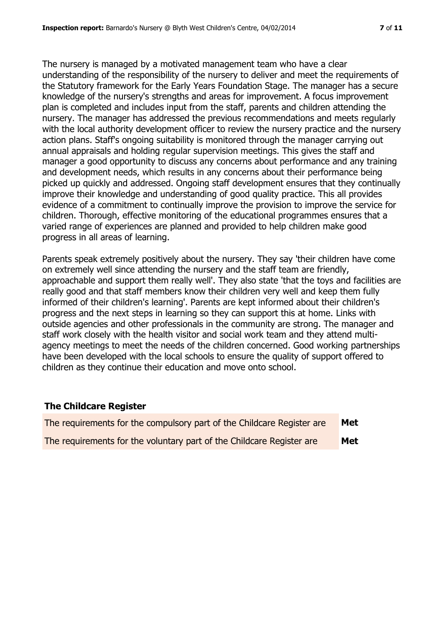The nursery is managed by a motivated management team who have a clear understanding of the responsibility of the nursery to deliver and meet the requirements of the Statutory framework for the Early Years Foundation Stage. The manager has a secure knowledge of the nursery's strengths and areas for improvement. A focus improvement plan is completed and includes input from the staff, parents and children attending the nursery. The manager has addressed the previous recommendations and meets regularly with the local authority development officer to review the nursery practice and the nursery action plans. Staff's ongoing suitability is monitored through the manager carrying out annual appraisals and holding regular supervision meetings. This gives the staff and manager a good opportunity to discuss any concerns about performance and any training and development needs, which results in any concerns about their performance being picked up quickly and addressed. Ongoing staff development ensures that they continually improve their knowledge and understanding of good quality practice. This all provides evidence of a commitment to continually improve the provision to improve the service for children. Thorough, effective monitoring of the educational programmes ensures that a varied range of experiences are planned and provided to help children make good

Parents speak extremely positively about the nursery. They say 'their children have come on extremely well since attending the nursery and the staff team are friendly, approachable and support them really well'. They also state 'that the toys and facilities are really good and that staff members know their children very well and keep them fully informed of their children's learning'. Parents are kept informed about their children's progress and the next steps in learning so they can support this at home. Links with outside agencies and other professionals in the community are strong. The manager and staff work closely with the health visitor and social work team and they attend multiagency meetings to meet the needs of the children concerned. Good working partnerships have been developed with the local schools to ensure the quality of support offered to children as they continue their education and move onto school.

# **The Childcare Register**

progress in all areas of learning.

| The requirements for the compulsory part of the Childcare Register are | Met |
|------------------------------------------------------------------------|-----|
| The requirements for the voluntary part of the Childcare Register are  | Met |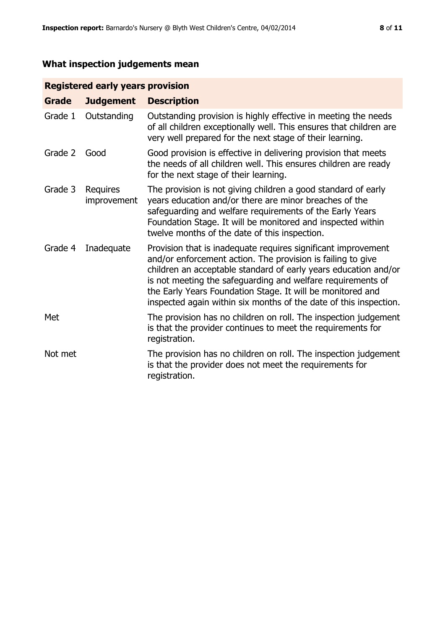# **What inspection judgements mean**

# **Registered early years provision**

| <b>Grade</b> | <b>Judgement</b>        | <b>Description</b>                                                                                                                                                                                                                                                                                                                                                                                |
|--------------|-------------------------|---------------------------------------------------------------------------------------------------------------------------------------------------------------------------------------------------------------------------------------------------------------------------------------------------------------------------------------------------------------------------------------------------|
| Grade 1      | Outstanding             | Outstanding provision is highly effective in meeting the needs<br>of all children exceptionally well. This ensures that children are<br>very well prepared for the next stage of their learning.                                                                                                                                                                                                  |
| Grade 2      | Good                    | Good provision is effective in delivering provision that meets<br>the needs of all children well. This ensures children are ready<br>for the next stage of their learning.                                                                                                                                                                                                                        |
| Grade 3      | Requires<br>improvement | The provision is not giving children a good standard of early<br>years education and/or there are minor breaches of the<br>safeguarding and welfare requirements of the Early Years<br>Foundation Stage. It will be monitored and inspected within<br>twelve months of the date of this inspection.                                                                                               |
| Grade 4      | Inadequate              | Provision that is inadequate requires significant improvement<br>and/or enforcement action. The provision is failing to give<br>children an acceptable standard of early years education and/or<br>is not meeting the safeguarding and welfare requirements of<br>the Early Years Foundation Stage. It will be monitored and<br>inspected again within six months of the date of this inspection. |
| Met          |                         | The provision has no children on roll. The inspection judgement<br>is that the provider continues to meet the requirements for<br>registration.                                                                                                                                                                                                                                                   |
| Not met      |                         | The provision has no children on roll. The inspection judgement<br>is that the provider does not meet the requirements for<br>registration.                                                                                                                                                                                                                                                       |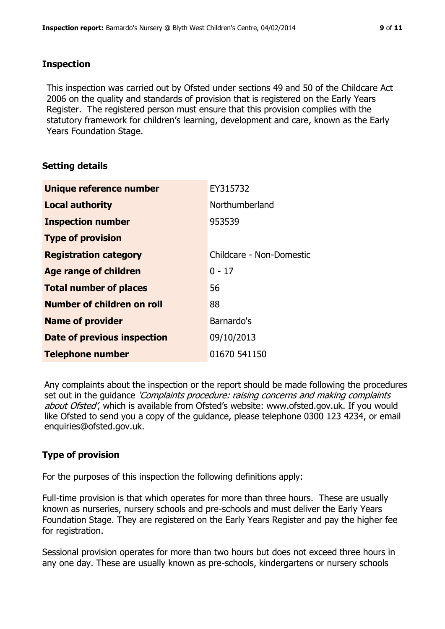## **Inspection**

This inspection was carried out by Ofsted under sections 49 and 50 of the Childcare Act 2006 on the quality and standards of provision that is registered on the Early Years Register. The registered person must ensure that this provision complies with the statutory framework for children's learning, development and care, known as the Early Years Foundation Stage.

# **Setting details**

| Unique reference number           | EY315732                 |
|-----------------------------------|--------------------------|
| <b>Local authority</b>            | Northumberland           |
| <b>Inspection number</b>          | 953539                   |
| <b>Type of provision</b>          |                          |
| <b>Registration category</b>      | Childcare - Non-Domestic |
| Age range of children             | $0 - 17$                 |
| <b>Total number of places</b>     | 56                       |
| <b>Number of children on roll</b> | 88                       |
| <b>Name of provider</b>           | Barnardo's               |
| Date of previous inspection       | 09/10/2013               |
| <b>Telephone number</b>           | 01670 541150             |

Any complaints about the inspection or the report should be made following the procedures set out in the guidance *'Complaints procedure: raising concerns and making complaints* about Ofsted', which is available from Ofsted's website: www.ofsted.gov.uk. If you would like Ofsted to send you a copy of the guidance, please telephone 0300 123 4234, or email enquiries@ofsted.gov.uk.

# **Type of provision**

For the purposes of this inspection the following definitions apply:

Full-time provision is that which operates for more than three hours. These are usually known as nurseries, nursery schools and pre-schools and must deliver the Early Years Foundation Stage. They are registered on the Early Years Register and pay the higher fee for registration.

Sessional provision operates for more than two hours but does not exceed three hours in any one day. These are usually known as pre-schools, kindergartens or nursery schools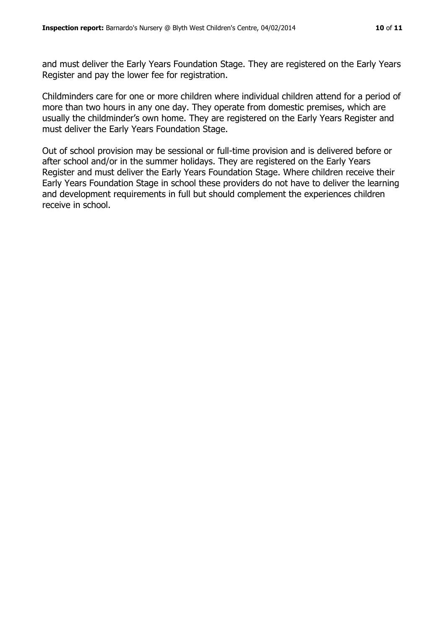and must deliver the Early Years Foundation Stage. They are registered on the Early Years Register and pay the lower fee for registration.

Childminders care for one or more children where individual children attend for a period of more than two hours in any one day. They operate from domestic premises, which are usually the childminder's own home. They are registered on the Early Years Register and must deliver the Early Years Foundation Stage.

Out of school provision may be sessional or full-time provision and is delivered before or after school and/or in the summer holidays. They are registered on the Early Years Register and must deliver the Early Years Foundation Stage. Where children receive their Early Years Foundation Stage in school these providers do not have to deliver the learning and development requirements in full but should complement the experiences children receive in school.